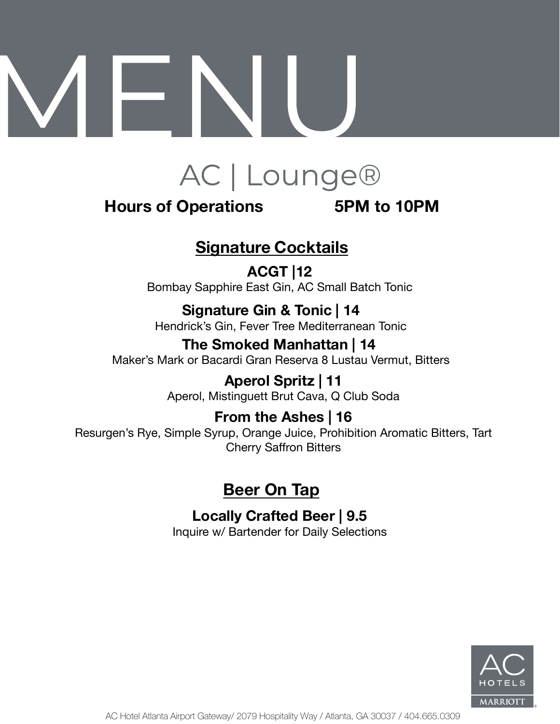

### **Hours of Operations 5PM to 10PM**

# **Signature Cocktails**

**ACGT |12** Bombay Sapphire East Gin, AC Small Batch Tonic

**Signature Gin & Tonic | 14** Hendrick's Gin, Fever Tree Mediterranean Tonic

**The Smoked Manhattan | 14** Maker's Mark or Bacardi Gran Reserva 8 Lustau Vermut, Bitters

> **Aperol Spritz | 11** Aperol, Mistinguett Brut Cava, Q Club Soda

**From the Ashes | 16** Resurgen's Rye, Simple Syrup, Orange Juice, Prohibition Aromatic Bitters, Tart Cherry Saffron Bitters

## **Beer On Tap**

**Locally Crafted Beer | 9.5**

Inquire w/ Bartender for Daily Selections

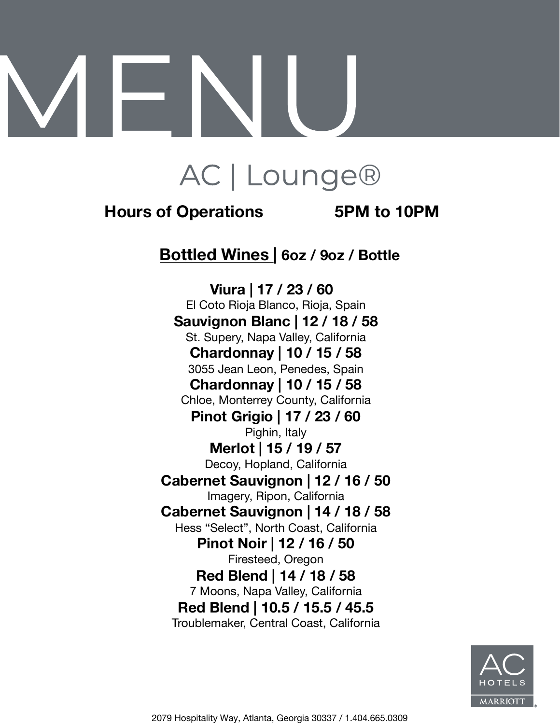# AC | Lounge®

### **Hours of Operations 5PM to 10PM**

### **Bottled Wines | 6oz / 9oz / Bottle**

**Viura | 17 / 23 / 60** El Coto Rioja Blanco, Rioja, Spain **Sauvignon Blanc | 12 / 18 / 58** St. Supery, Napa Valley, California **Chardonnay | 10 / 15 / 58** 3055 Jean Leon, Penedes, Spain **Chardonnay | 10 / 15 / 58** Chloe, Monterrey County, California **Pinot Grigio | 17 / 23 / 60** Pighin, Italy **Merlot | 15 / 19 / 57** Decoy, Hopland, California **Cabernet Sauvignon | 12 / 16 / 50** Imagery, Ripon, California **Cabernet Sauvignon | 14 / 18 / 58** Hess "Select", North Coast, California **Pinot Noir | 12 / 16 / 50** Firesteed, Oregon **Red Blend | 14 / 18 / 58** 7 Moons, Napa Valley, California **Red Blend | 10.5 / 15.5 / 45.5** Troublemaker, Central Coast, California